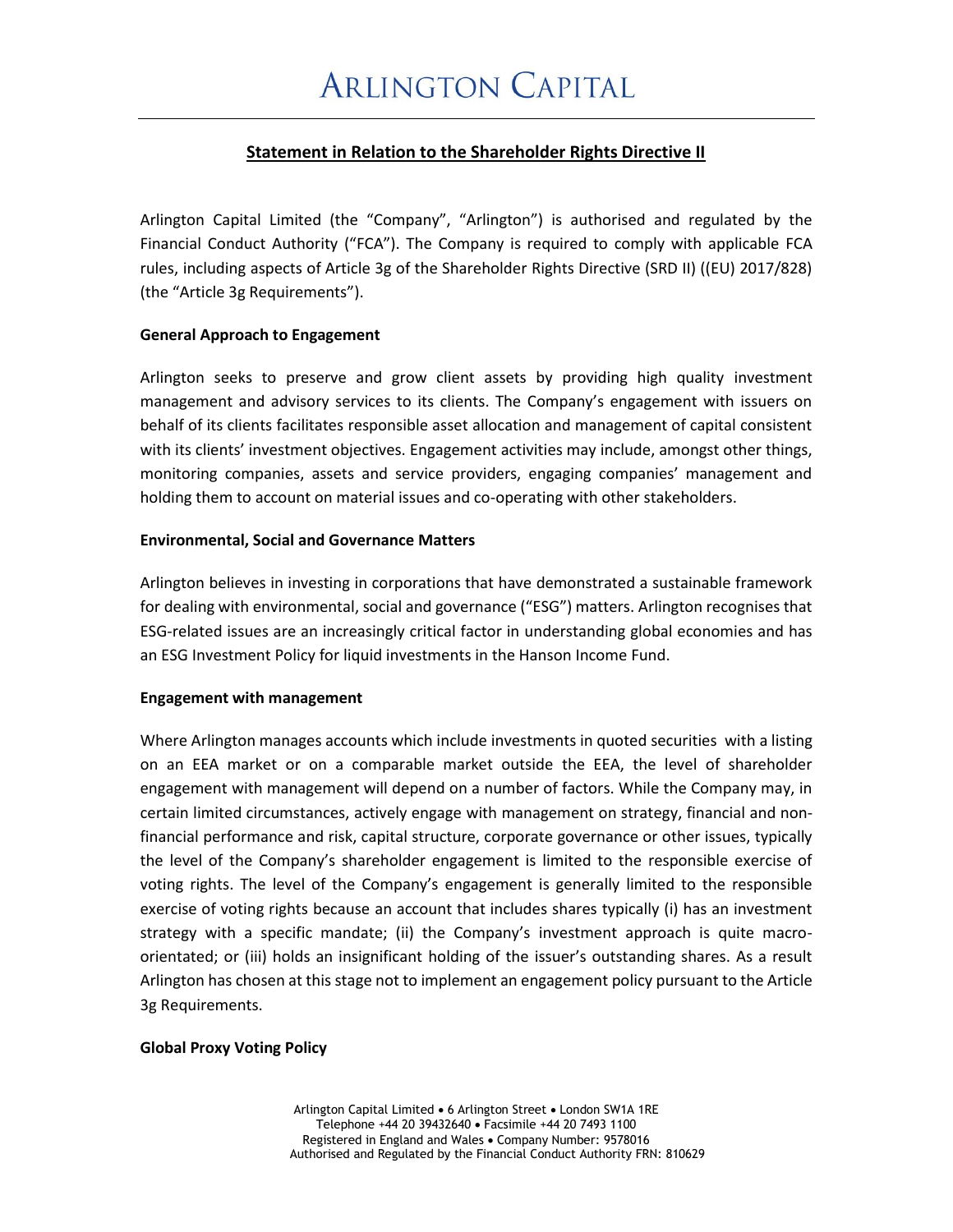# **Statement in Relation to the Shareholder Rights Directive II**

Arlington Capital Limited (the "Company", "Arlington") is authorised and regulated by the Financial Conduct Authority ("FCA"). The Company is required to comply with applicable FCA rules, including aspects of Article 3g of the Shareholder Rights Directive (SRD II) ((EU) 2017/828) (the "Article 3g Requirements").

## **General Approach to Engagement**

Arlington seeks to preserve and grow client assets by providing high quality investment management and advisory services to its clients. The Company's engagement with issuers on behalf of its clients facilitates responsible asset allocation and management of capital consistent with its clients' investment objectives. Engagement activities may include, amongst other things, monitoring companies, assets and service providers, engaging companies' management and holding them to account on material issues and co-operating with other stakeholders.

## **Environmental, Social and Governance Matters**

Arlington believes in investing in corporations that have demonstrated a sustainable framework for dealing with environmental, social and governance ("ESG") matters. Arlington recognises that ESG-related issues are an increasingly critical factor in understanding global economies and has an ESG Investment Policy for liquid investments in the Hanson Income Fund.

## **Engagement with management**

Where Arlington manages accounts which include investments in quoted securities with a listing on an EEA market or on a comparable market outside the EEA, the level of shareholder engagement with management will depend on a number of factors. While the Company may, in certain limited circumstances, actively engage with management on strategy, financial and nonfinancial performance and risk, capital structure, corporate governance or other issues, typically the level of the Company's shareholder engagement is limited to the responsible exercise of voting rights. The level of the Company's engagement is generally limited to the responsible exercise of voting rights because an account that includes shares typically (i) has an investment strategy with a specific mandate; (ii) the Company's investment approach is quite macroorientated; or (iii) holds an insignificant holding of the issuer's outstanding shares. As a result Arlington has chosen at this stage not to implement an engagement policy pursuant to the Article 3g Requirements.

## **Global Proxy Voting Policy**